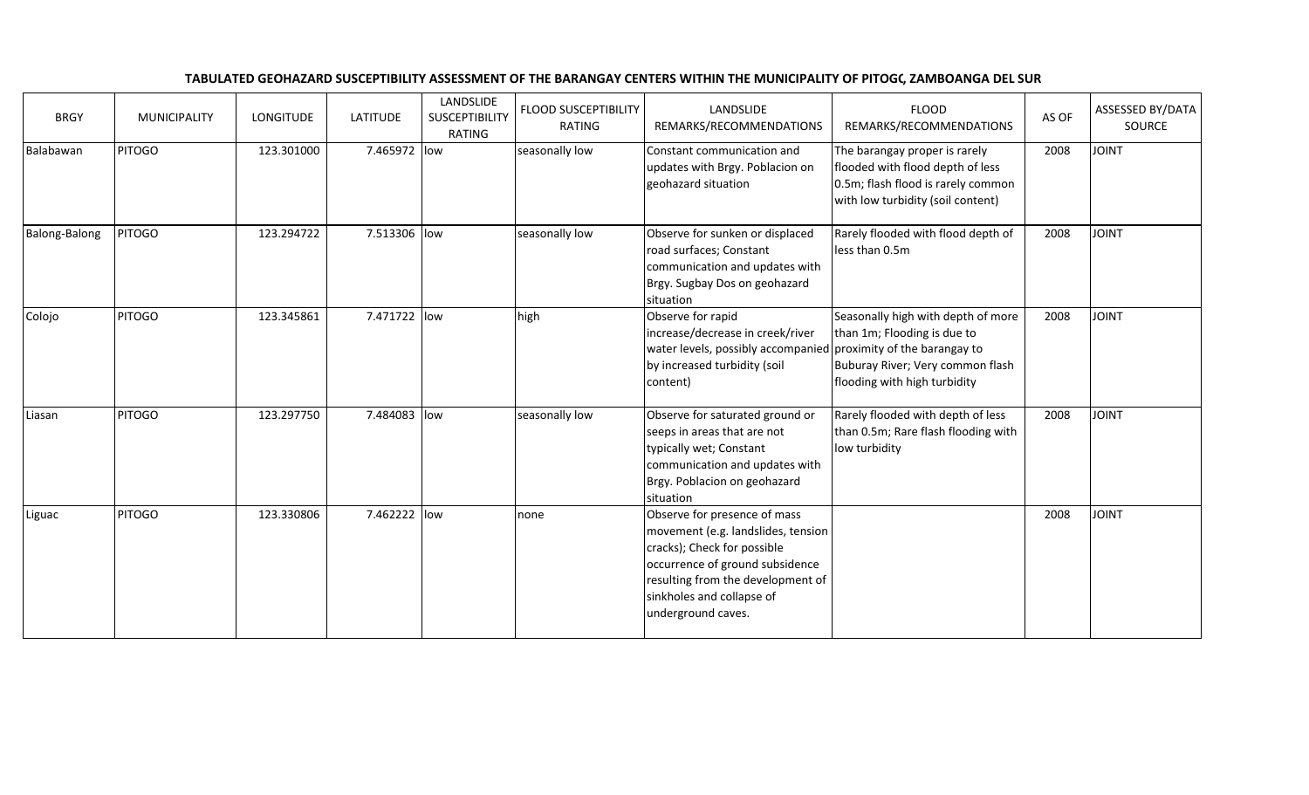| <b>BRGY</b>   | MUNICIPALITY  | <b>LONGITUDE</b> | <b>LATITUDE</b> | LANDSLIDE<br><b>SUSCEPTIBILITY</b><br>RATING | <b>FLOOD SUSCEPTIBILITY</b><br>RATING | LANDSLIDE<br>REMARKS/RECOMMENDATIONS                                                                                                                                                                                         | <b>FLOOD</b><br>REMARKS/RECOMMENDATIONS                                                                                                      | AS OF | ASSESSED BY/DATA<br>SOURCE |
|---------------|---------------|------------------|-----------------|----------------------------------------------|---------------------------------------|------------------------------------------------------------------------------------------------------------------------------------------------------------------------------------------------------------------------------|----------------------------------------------------------------------------------------------------------------------------------------------|-------|----------------------------|
| Balabawan     | <b>PITOGO</b> | 123.301000       | 7.465972 low    |                                              | seasonally low                        | Constant communication and<br>updates with Brgy. Poblacion on<br>geohazard situation                                                                                                                                         | The barangay proper is rarely<br>flooded with flood depth of less<br>0.5m; flash flood is rarely common<br>with low turbidity (soil content) | 2008  | <b>JOINT</b>               |
| Balong-Balong | <b>PITOGO</b> | 123.294722       | 7.513306 low    |                                              | seasonally low                        | Observe for sunken or displaced<br>road surfaces; Constant<br>communication and updates with<br>Brgy. Sugbay Dos on geohazard<br>situation                                                                                   | Rarely flooded with flood depth of<br>less than 0.5m                                                                                         | 2008  | <b>JOINT</b>               |
| Colojo        | <b>PITOGO</b> | 123.345861       | 7.471722 low    |                                              | high                                  | Observe for rapid<br>increase/decrease in creek/river<br>water levels, possibly accompanied proximity of the barangay to<br>by increased turbidity (soil<br>content)                                                         | Seasonally high with depth of more<br>than 1m; Flooding is due to<br>Buburay River; Very common flash<br>flooding with high turbidity        | 2008  | <b>JOINT</b>               |
| Liasan        | <b>PITOGO</b> | 123.297750       | 7.484083 low    |                                              | seasonally low                        | Observe for saturated ground or<br>seeps in areas that are not<br>typically wet; Constant<br>communication and updates with<br>Brgy. Poblacion on geohazard<br>situation                                                     | Rarely flooded with depth of less<br>than 0.5m; Rare flash flooding with<br>low turbidity                                                    | 2008  | <b>JOINT</b>               |
| Liguac        | <b>PITOGO</b> | 123.330806       | 7.462222 low    |                                              | none                                  | Observe for presence of mass<br>movement (e.g. landslides, tension<br>cracks); Check for possible<br>occurrence of ground subsidence<br>resulting from the development of<br>sinkholes and collapse of<br>underground caves. |                                                                                                                                              | 2008  | <b>JOINT</b>               |

## TABULATED GEOHAZARD SUSCEPTIBILITY ASSESSMENT OF THE BARANGAY CENTERS WITHIN THE MUNICIPALITY OF PITOGC, ZAMBOANGA DEL SUR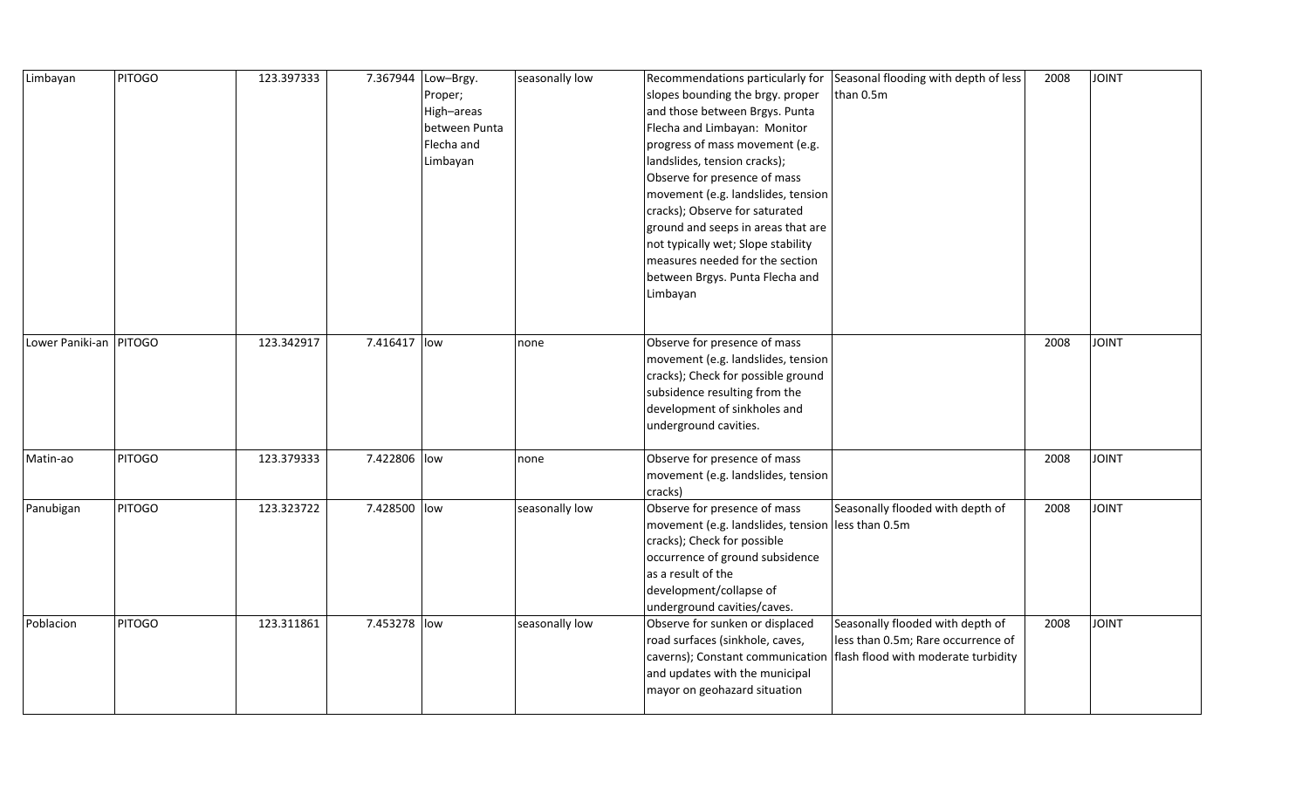| Limbayan               | <b>PITOGO</b> | 123.397333 |              | 7.367944 Low-Brgy. | seasonally low | Recommendations particularly for                  | Seasonal flooding with depth of less | 2008 | <b>JOINT</b> |
|------------------------|---------------|------------|--------------|--------------------|----------------|---------------------------------------------------|--------------------------------------|------|--------------|
|                        |               |            |              | Proper;            |                | slopes bounding the brgy. proper                  | than 0.5m                            |      |              |
|                        |               |            |              | High-areas         |                | and those between Brgys. Punta                    |                                      |      |              |
|                        |               |            |              | between Punta      |                | Flecha and Limbayan: Monitor                      |                                      |      |              |
|                        |               |            |              | Flecha and         |                | progress of mass movement (e.g.                   |                                      |      |              |
|                        |               |            |              | Limbayan           |                | landslides, tension cracks);                      |                                      |      |              |
|                        |               |            |              |                    |                | Observe for presence of mass                      |                                      |      |              |
|                        |               |            |              |                    |                | movement (e.g. landslides, tension                |                                      |      |              |
|                        |               |            |              |                    |                | cracks); Observe for saturated                    |                                      |      |              |
|                        |               |            |              |                    |                | ground and seeps in areas that are                |                                      |      |              |
|                        |               |            |              |                    |                | not typically wet; Slope stability                |                                      |      |              |
|                        |               |            |              |                    |                | measures needed for the section                   |                                      |      |              |
|                        |               |            |              |                    |                | between Brgys. Punta Flecha and                   |                                      |      |              |
|                        |               |            |              |                    |                | Limbayan                                          |                                      |      |              |
|                        |               |            |              |                    |                |                                                   |                                      |      |              |
|                        |               |            |              |                    |                |                                                   |                                      |      |              |
| Lower Paniki-an PITOGO |               | 123.342917 | 7.416417 low |                    | none           | Observe for presence of mass                      |                                      | 2008 | <b>JOINT</b> |
|                        |               |            |              |                    |                | movement (e.g. landslides, tension                |                                      |      |              |
|                        |               |            |              |                    |                | cracks); Check for possible ground                |                                      |      |              |
|                        |               |            |              |                    |                | subsidence resulting from the                     |                                      |      |              |
|                        |               |            |              |                    |                | development of sinkholes and                      |                                      |      |              |
|                        |               |            |              |                    |                | underground cavities.                             |                                      |      |              |
|                        |               |            |              |                    |                |                                                   |                                      |      |              |
| Matin-ao               | <b>PITOGO</b> | 123.379333 | 7.422806 low |                    | none           | Observe for presence of mass                      |                                      | 2008 | <b>JOINT</b> |
|                        |               |            |              |                    |                | movement (e.g. landslides, tension                |                                      |      |              |
|                        |               |            |              |                    |                | cracks)                                           |                                      |      |              |
| Panubigan              | <b>PITOGO</b> | 123.323722 | 7.428500 low |                    | seasonally low | Observe for presence of mass                      | Seasonally flooded with depth of     | 2008 | <b>JOINT</b> |
|                        |               |            |              |                    |                | movement (e.g. landslides, tension less than 0.5m |                                      |      |              |
|                        |               |            |              |                    |                | cracks); Check for possible                       |                                      |      |              |
|                        |               |            |              |                    |                | occurrence of ground subsidence                   |                                      |      |              |
|                        |               |            |              |                    |                | as a result of the                                |                                      |      |              |
|                        |               |            |              |                    |                | development/collapse of                           |                                      |      |              |
|                        |               |            |              |                    |                | underground cavities/caves.                       |                                      |      |              |
| Poblacion              | <b>PITOGO</b> | 123.311861 | 7.453278 low |                    | seasonally low | Observe for sunken or displaced                   | Seasonally flooded with depth of     | 2008 | <b>JOINT</b> |
|                        |               |            |              |                    |                | road surfaces (sinkhole, caves,                   | less than 0.5m; Rare occurrence of   |      |              |
|                        |               |            |              |                    |                | caverns); Constant communication                  | flash flood with moderate turbidity  |      |              |
|                        |               |            |              |                    |                | and updates with the municipal                    |                                      |      |              |
|                        |               |            |              |                    |                | mayor on geohazard situation                      |                                      |      |              |
|                        |               |            |              |                    |                |                                                   |                                      |      |              |